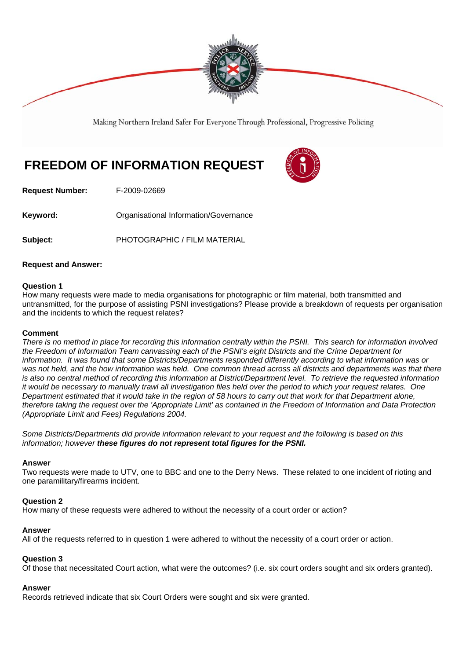

Making Northern Ireland Safer For Everyone Through Professional, Progressive Policing

# **FREEDOM OF INFORMATION REQUEST**

**Request Number:** F-2009-02669

**Keyword: Comparent Comparent Constrainers** Organisational Information/Governance

**Subject:** PHOTOGRAPHIC / FILM MATERIAL

# **Request and Answer:**

#### **Question 1**

How many requests were made to media organisations for photographic or film material, both transmitted and untransmitted, for the purpose of assisting PSNI investigations? Please provide a breakdown of requests per organisation and the incidents to which the request relates?

#### **Comment**

*There is no method in place for recording this information centrally within the PSNI. This search for information involved the Freedom of Information Team canvassing each of the PSNI's eight Districts and the Crime Department for information. It was found that some Districts/Departments responded differently according to what information was or was not held, and the how information was held. One common thread across all districts and departments was that there is also no central method of recording this information at District/Department level. To retrieve the requested information it would be necessary to manually trawl all investigation files held over the period to which your request relates. One Department estimated that it would take in the region of 58 hours to carry out that work for that Department alone, therefore taking the request over the 'Appropriate Limit' as contained in the Freedom of Information and Data Protection (Appropriate Limit and Fees) Regulations 2004.*

*Some Districts/Departments did provide information relevant to your request and the following is based on this information; however these figures do not represent total figures for the PSNI.*

#### **Answer**

Two requests were made to UTV, one to BBC and one to the Derry News. These related to one incident of rioting and one paramilitary/firearms incident.

# **Question 2**

How many of these requests were adhered to without the necessity of a court order or action?

# **Answer**

All of the requests referred to in question 1 were adhered to without the necessity of a court order or action.

# **Question 3**

Of those that necessitated Court action, what were the outcomes? (i.e. six court orders sought and six orders granted).

# **Answer**

Records retrieved indicate that six Court Orders were sought and six were granted.